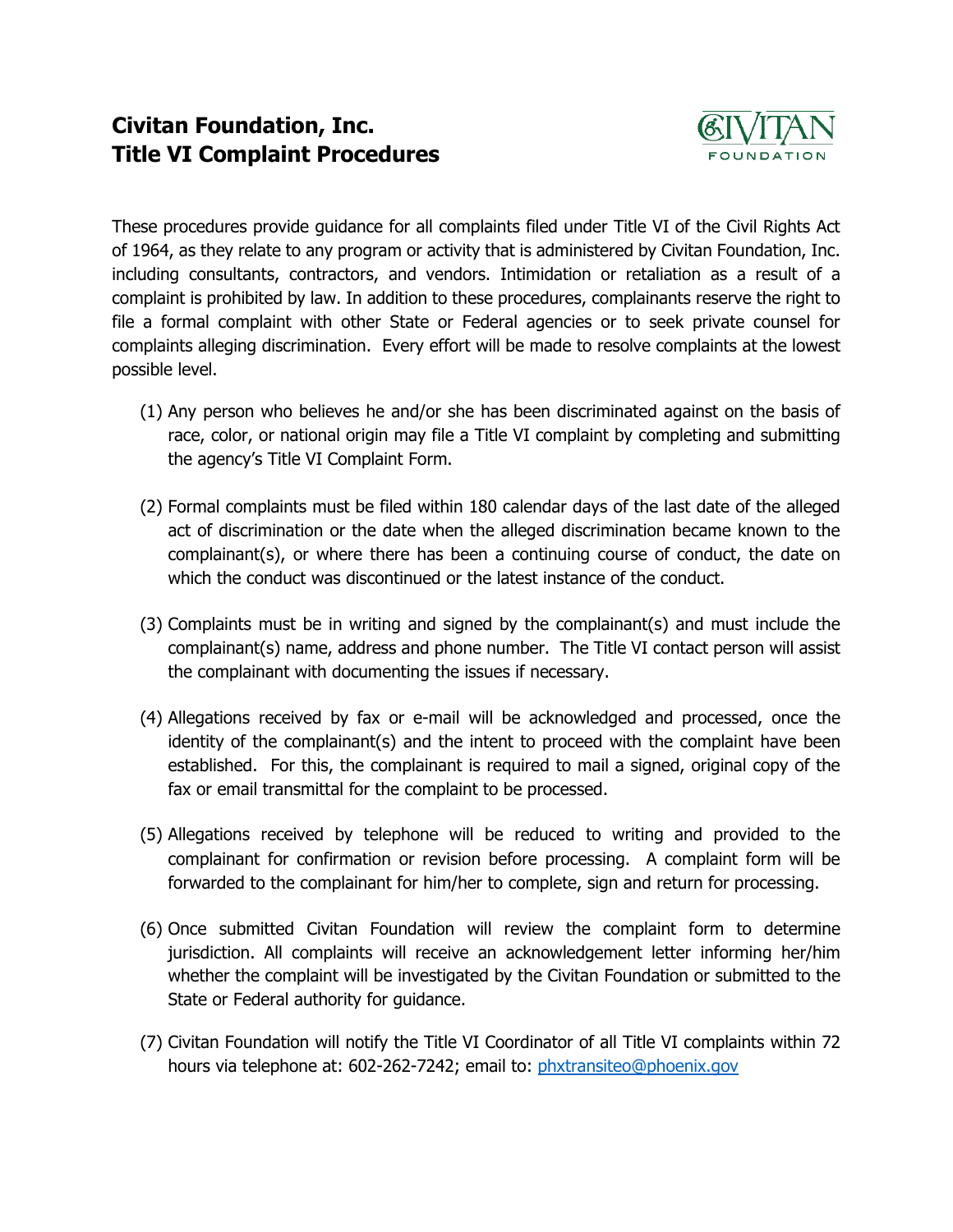## **Civitan Foundation, Inc. Title VI Complaint Procedures**



These procedures provide guidance for all complaints filed under Title VI of the Civil Rights Act of 1964, as they relate to any program or activity that is administered by Civitan Foundation, Inc. including consultants, contractors, and vendors. Intimidation or retaliation as a result of a complaint is prohibited by law. In addition to these procedures, complainants reserve the right to file a formal complaint with other State or Federal agencies or to seek private counsel for complaints alleging discrimination. Every effort will be made to resolve complaints at the lowest possible level.

- (1) Any person who believes he and/or she has been discriminated against on the basis of race, color, or national origin may file a Title VI complaint by completing and submitting the agency's Title VI Complaint Form.
- (2) Formal complaints must be filed within 180 calendar days of the last date of the alleged act of discrimination or the date when the alleged discrimination became known to the complainant(s), or where there has been a continuing course of conduct, the date on which the conduct was discontinued or the latest instance of the conduct.
- (3) Complaints must be in writing and signed by the complainant(s) and must include the complainant(s) name, address and phone number. The Title VI contact person will assist the complainant with documenting the issues if necessary.
- (4) Allegations received by fax or e-mail will be acknowledged and processed, once the identity of the complainant(s) and the intent to proceed with the complaint have been established. For this, the complainant is required to mail a signed, original copy of the fax or email transmittal for the complaint to be processed.
- (5) Allegations received by telephone will be reduced to writing and provided to the complainant for confirmation or revision before processing. A complaint form will be forwarded to the complainant for him/her to complete, sign and return for processing.
- (6) Once submitted Civitan Foundation will review the complaint form to determine jurisdiction. All complaints will receive an acknowledgement letter informing her/him whether the complaint will be investigated by the Civitan Foundation or submitted to the State or Federal authority for guidance.
- (7) Civitan Foundation will notify the Title VI Coordinator of all Title VI complaints within 72 hours via telephone at: 602-262-7242; email to: [phxtransiteo@phoenix.gov](mailto:phxtransiteo@phoenix.gov)